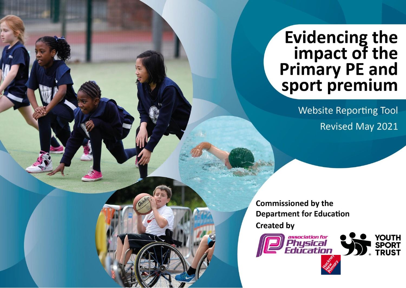## **Evidencing the<br>impact of the<br>Primary PE and<br>sport premium**

**Website Reporting Tool Revised May 2021** 

**Commissioned by the Department for Education Created by** 

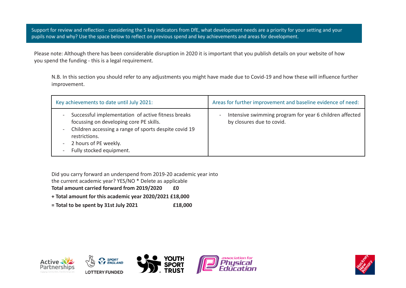Support for review and reflection - considering the 5 key indicators from DfE, what development needs are a priority for your setting and your pupils now and why? Use the space below to reflect on previous spend and key achievements and areas for development.

Please note: Although there has been considerable disruption in 2020 it is important that you publish details on your website of how you spend the funding - this is a legal requirement.

N.B. In this section you should refer to any adjustments you might have made due to Covid-19 and how these will influence further improvement.

| Key achievements to date until July 2021:                                                                                                                                                                                      | Areas for further improvement and baseline evidence of need:                         |
|--------------------------------------------------------------------------------------------------------------------------------------------------------------------------------------------------------------------------------|--------------------------------------------------------------------------------------|
| Successful implementation of active fitness breaks<br>focussing on developing core PE skills.<br>Children accessing a range of sports despite covid 19<br>restrictions.<br>- 2 hours of PE weekly.<br>Fully stocked equipment. | Intensive swimming program for year 6 children affected<br>by closures due to covid. |

Did you carry forward an underspend from 2019-20 academic year into

the current academic year? YES/NO \* Delete as applicable

Total amount carried forward from 2019/2020 **£0** 

**+ Total amount for this academic year 2020/2021 £18,000**

**= Total to be spent by 31st July 2021 £18,000**









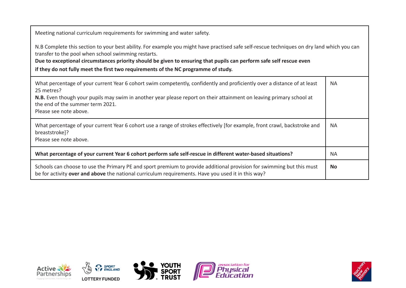Meeting national curriculum requirements for swimming and water safety.

N.B Complete this section to your best ability. For example you might have practised safe self-rescue techniques on dry land which you can transfer to the pool when school swimming restarts.

**Due to exceptional circumstances priority should be given to ensuring that pupils can perform safe self rescue even**

**if they do not fully meet the first two requirements of the NC programme of study.**

| What percentage of your current Year 6 cohort swim competently, confidently and proficiently over a distance of at least<br>25 metres?<br>N.B. Even though your pupils may swim in another year please report on their attainment on leaving primary school at<br>the end of the summer term 2021.<br>Please see note above. | <b>NA</b> |
|------------------------------------------------------------------------------------------------------------------------------------------------------------------------------------------------------------------------------------------------------------------------------------------------------------------------------|-----------|
| What percentage of your current Year 6 cohort use a range of strokes effectively [for example, front crawl, backstroke and<br>breaststroke]?<br>Please see note above.                                                                                                                                                       | <b>NA</b> |
| What percentage of your current Year 6 cohort perform safe self-rescue in different water-based situations?                                                                                                                                                                                                                  | NA        |
| Schools can choose to use the Primary PE and sport premium to provide additional provision for swimming but this must<br>be for activity over and above the national curriculum requirements. Have you used it in this way?                                                                                                  | No.       |









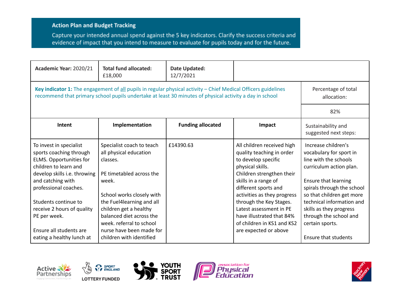## **Action Plan and Budget Tracking**

Capture your intended annual spend against the 5 key indicators. Clarify the success criteria and evidence of impact that you intend to measure to evaluate for pupils today and for the future.

| Academic Year: 2020/21                                                                                                                                                                                                                                                                                                    | <b>Total fund allocated:</b><br>£18,000                                                                                                                                                                                                                                                                  | Date Updated:<br>12/7/2021         |                                                                                                                                                                                                                                                                                                                                                          |                                                                                                                                                                                                                                                                                                                           |
|---------------------------------------------------------------------------------------------------------------------------------------------------------------------------------------------------------------------------------------------------------------------------------------------------------------------------|----------------------------------------------------------------------------------------------------------------------------------------------------------------------------------------------------------------------------------------------------------------------------------------------------------|------------------------------------|----------------------------------------------------------------------------------------------------------------------------------------------------------------------------------------------------------------------------------------------------------------------------------------------------------------------------------------------------------|---------------------------------------------------------------------------------------------------------------------------------------------------------------------------------------------------------------------------------------------------------------------------------------------------------------------------|
| Key indicator 1: The engagement of all pupils in regular physical activity - Chief Medical Officers guidelines<br>recommend that primary school pupils undertake at least 30 minutes of physical activity a day in school                                                                                                 |                                                                                                                                                                                                                                                                                                          | Percentage of total<br>allocation: |                                                                                                                                                                                                                                                                                                                                                          |                                                                                                                                                                                                                                                                                                                           |
|                                                                                                                                                                                                                                                                                                                           |                                                                                                                                                                                                                                                                                                          |                                    |                                                                                                                                                                                                                                                                                                                                                          | 82%                                                                                                                                                                                                                                                                                                                       |
| Intent                                                                                                                                                                                                                                                                                                                    | Implementation                                                                                                                                                                                                                                                                                           | <b>Funding allocated</b>           | Impact                                                                                                                                                                                                                                                                                                                                                   | Sustainability and<br>suggested next steps:                                                                                                                                                                                                                                                                               |
| To invest in specialist<br>sports coaching through<br><b>ELMS. Opportunities for</b><br>children to learn and<br>develop skills i.e. throwing<br>and catching with<br>professional coaches.<br>Students continue to<br>receive 2 hours of quality<br>PE per week.<br>Ensure all students are<br>eating a healthy lunch at | Specialist coach to teach<br>all physical education<br>classes.<br>PE timetabled across the<br>week.<br>School works closely with<br>the Fuel4learning and all<br>children get a healthy<br>balanced diet across the<br>week. referral to school<br>nurse have been made for<br>children with identified | £14390.63                          | All children received high<br>quality teaching in order<br>to develop specific<br>physical skills.<br>Children strengthen their<br>skills in a range of<br>different sports and<br>activities as they progress<br>through the Key Stages.<br>Latest assessment in PE<br>have illustrated that 84%<br>of children in KS1 and KS2<br>are expected or above | Increase children's<br>vocabulary for sport in<br>line with the schools<br>curriculum action plan.<br>Ensure that learning<br>spirals through the school<br>so that children get more<br>technical information and<br>skills as they progress<br>through the school and<br>certain sports.<br><b>Ensure that students</b> |









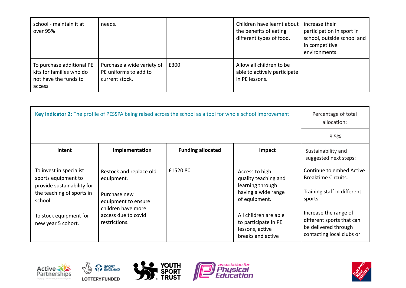| school - maintain it at<br>over 95%                                                      | needs.                                                                |      | Children have learnt about  <br>the benefits of eating<br>different types of food. | increase their<br>participation in sport in<br>school, outside school and<br>in competitive<br>environments. |
|------------------------------------------------------------------------------------------|-----------------------------------------------------------------------|------|------------------------------------------------------------------------------------|--------------------------------------------------------------------------------------------------------------|
| To purchase additional PE<br>kits for families who do<br>not have the funds to<br>access | Purchase a wide variety of<br>PE uniforms to add to<br>current stock. | £300 | Allow all children to be<br>able to actively participate<br>in PE lessons.         |                                                                                                              |

|                                                                                                                                                                      |                                                                                                                                            | Key indicator 2: The profile of PESSPA being raised across the school as a tool for whole school improvement |                                                                                                                                                                                             | Percentage of total<br>allocation:                                                                                                                                                                          |
|----------------------------------------------------------------------------------------------------------------------------------------------------------------------|--------------------------------------------------------------------------------------------------------------------------------------------|--------------------------------------------------------------------------------------------------------------|---------------------------------------------------------------------------------------------------------------------------------------------------------------------------------------------|-------------------------------------------------------------------------------------------------------------------------------------------------------------------------------------------------------------|
|                                                                                                                                                                      |                                                                                                                                            |                                                                                                              |                                                                                                                                                                                             | 8.5%                                                                                                                                                                                                        |
| Intent                                                                                                                                                               | Implementation                                                                                                                             | <b>Funding allocated</b>                                                                                     | Impact                                                                                                                                                                                      | Sustainability and<br>suggested next steps:                                                                                                                                                                 |
| To invest in specialist<br>sports equipment to<br>provide sustainability for<br>the teaching of sports in<br>school.<br>To stock equipment for<br>new year 5 cohort. | Restock and replace old<br>equipment.<br>Purchase new<br>equipment to ensure<br>children have more<br>access due to covid<br>restrictions. | £1520.80                                                                                                     | Access to high<br>quality teaching and<br>learning through<br>having a wide range<br>of equipment.<br>All children are able<br>to participate in PE<br>lessons, active<br>breaks and active | Continue to embed Active<br><b>Breaktime Circuits.</b><br>Training staff in different<br>sports.<br>Increase the range of<br>different sports that can<br>be delivered through<br>contacting local clubs or |









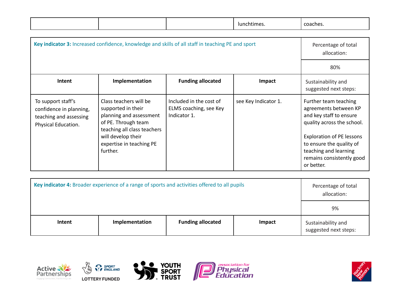|                                                                                                |                                                                                                                                                                                             |                                                                   | lunchtimes.          | coaches.                                                                                                                                                                                                                             |
|------------------------------------------------------------------------------------------------|---------------------------------------------------------------------------------------------------------------------------------------------------------------------------------------------|-------------------------------------------------------------------|----------------------|--------------------------------------------------------------------------------------------------------------------------------------------------------------------------------------------------------------------------------------|
|                                                                                                |                                                                                                                                                                                             |                                                                   |                      |                                                                                                                                                                                                                                      |
|                                                                                                | Key indicator 3: Increased confidence, knowledge and skills of all staff in teaching PE and sport                                                                                           |                                                                   |                      | Percentage of total<br>allocation:                                                                                                                                                                                                   |
|                                                                                                |                                                                                                                                                                                             |                                                                   |                      | 80%                                                                                                                                                                                                                                  |
| Intent                                                                                         | Implementation                                                                                                                                                                              | <b>Funding allocated</b>                                          | Impact               | Sustainability and<br>suggested next steps:                                                                                                                                                                                          |
| To support staff's<br>confidence in planning,<br>teaching and assessing<br>Physical Education. | Class teachers will be<br>supported in their<br>planning and assessment<br>of PE. Through team<br>teaching all class teachers<br>will develop their<br>expertise in teaching PE<br>further. | Included in the cost of<br>ELMS coaching, see Key<br>Indicator 1. | see Key Indicator 1. | Further team teaching<br>agreements between KP<br>and key staff to ensure<br>quality across the school.<br>Exploration of PE lessons<br>to ensure the quality of<br>teaching and learning<br>remains consistently good<br>or better. |

| Key indicator 4: Broader experience of a range of sports and activities offered to all pupils |                | Percentage of total<br>allocation: |        |                                             |
|-----------------------------------------------------------------------------------------------|----------------|------------------------------------|--------|---------------------------------------------|
|                                                                                               |                |                                    |        | 9%                                          |
| Intent                                                                                        | Implementation | <b>Funding allocated</b>           | Impact | Sustainability and<br>suggested next steps: |









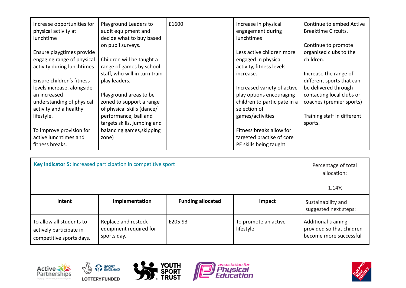| Increase opportunities for<br>physical activity at | Playground Leaders to<br>audit equipment and | £1600 | Increase in physical<br>engagement during | Continue to embed Active<br><b>Breaktime Circuits.</b> |
|----------------------------------------------------|----------------------------------------------|-------|-------------------------------------------|--------------------------------------------------------|
| lunchtime                                          | decide what to buy based                     |       | <b>lunchtimes</b>                         |                                                        |
|                                                    | on pupil surveys.                            |       |                                           | Continue to promote                                    |
| Ensure playgtimes provide                          |                                              |       | Less active children more                 | organised clubs to the                                 |
| engaging range of physical                         | Children will be taught a                    |       | engaged in physical                       | children.                                              |
| activity during lunchtimes                         | range of games by school                     |       | activity, fitness levels                  |                                                        |
|                                                    | staff, who will in turn train                |       | increase.                                 | Increase the range of                                  |
| Ensure children's fitness                          | play leaders.                                |       |                                           | different sports that can                              |
| levels increase, alongside                         |                                              |       | Increased variety of active               | be delivered through                                   |
| an increased                                       | Playground areas to be                       |       | play options encouraging                  | contacting local clubs or                              |
| understanding of physical                          | zoned to support a range                     |       | children to participate in a              | coaches (premier sports)                               |
| activity and a healthy                             | of physical skills (dance/                   |       | selection of                              |                                                        |
| lifestyle.                                         | performance, ball and                        |       | games/activities.                         | Training staff in different                            |
|                                                    | targets skills, jumping and                  |       |                                           | sports.                                                |
| To improve provision for                           | balancing games, skipping                    |       | Fitness breaks allow for                  |                                                        |
| active lunchtimes and                              | zone)                                        |       | targeted practise of core                 |                                                        |
| fitness breaks.                                    |                                              |       | PE skills being taught.                   |                                                        |

|                                                                                 | Key indicator 5: Increased participation in competitive sport |                          |                                    | Percentage of total<br>allocation:                                                |
|---------------------------------------------------------------------------------|---------------------------------------------------------------|--------------------------|------------------------------------|-----------------------------------------------------------------------------------|
|                                                                                 |                                                               |                          |                                    | 1.14%                                                                             |
| Intent                                                                          | Implementation                                                | <b>Funding allocated</b> | Impact                             | Sustainability and<br>suggested next steps:                                       |
| To allow all students to<br>actively participate in<br>competitive sports days. | Replace and restock<br>equipment required for<br>sports day.  | £205.93                  | To promote an active<br>lifestyle. | <b>Additional training</b><br>provided so that children<br>become more successful |